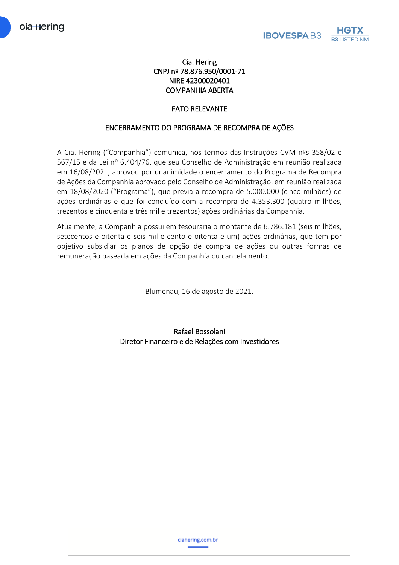## Cia. Hering CNPJ nº 78.876.950/0001-71 NIRE 42300020401 COMPANHIA ABERTA

# FATO RELEVANTE

### ENCERRAMENTO DO PROGRAMA DE RECOMPRA DE AÇÕES

A Cia. Hering ("Companhia") comunica, nos termos das Instruções CVM nºs 358/02 e 567/15 e da Lei nº 6.404/76, que seu Conselho de Administração em reunião realizada em 16/08/2021, aprovou por unanimidade o encerramento do Programa de Recompra de Ações da Companhia aprovado pelo Conselho de Administração, em reunião realizada em 18/08/2020 ("Programa"), que previa a recompra de 5.000.000 (cinco milhões) de ações ordinárias e que foi concluído com a recompra de 4.353.300 (quatro milhões, trezentos e cinquenta e três mil e trezentos) ações ordinárias da Companhia.

Atualmente, a Companhia possui em tesouraria o montante de 6.786.181 (seis milhões, setecentos e oitenta e seis mil e cento e oitenta e um) ações ordinárias, que tem por objetivo subsidiar os planos de opção de compra de ações ou outras formas de remuneração baseada em ações da Companhia ou cancelamento.

Blumenau, 16 de agosto de 2021.

Rafael Bossolani Diretor Financeiro e de Relações com Investidores